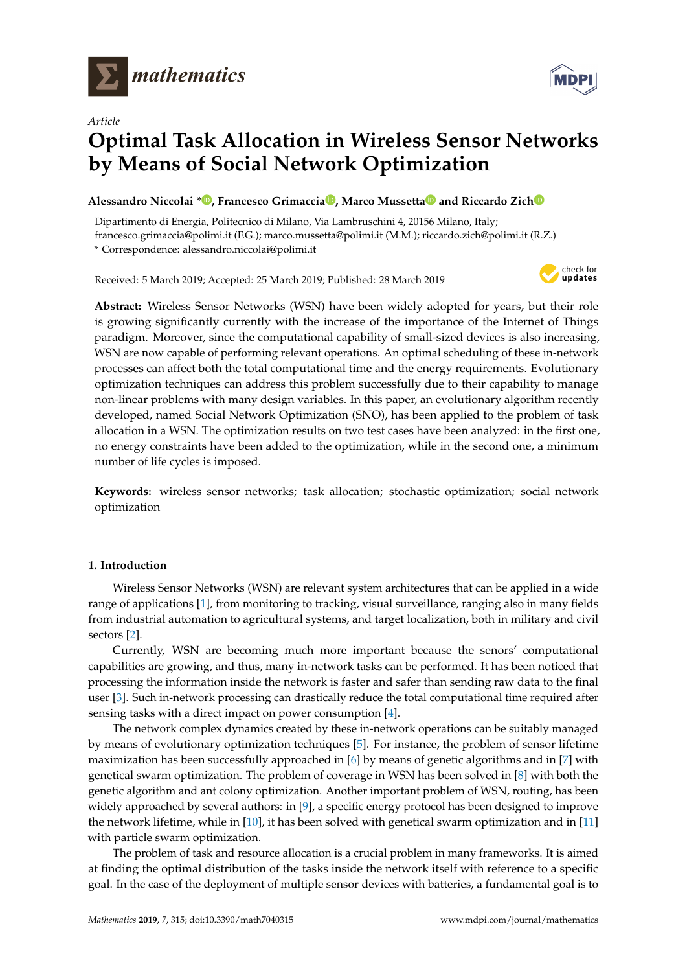



# **Optimal Task Allocation in Wireless Sensor Networks by Means of Social Network Optimization**

# **Alessandro Niccolai \* [,](https://orcid.org/0000-0002-5840-4222) Francesco Grimaccia [,](https://orcid.org/0000-0003-2568-9927) Marco Mussett[a](https://orcid.org/0000-0002-1005-3224) and Riccardo Zic[h](https://orcid.org/0000-0003-1845-0811)**

Dipartimento di Energia, Politecnico di Milano, Via Lambruschini 4, 20156 Milano, Italy; francesco.grimaccia@polimi.it (F.G.); marco.mussetta@polimi.it (M.M.); riccardo.zich@polimi.it (R.Z.)

**\*** Correspondence: alessandro.niccolai@polimi.it

Received: 5 March 2019; Accepted: 25 March 2019; Published: 28 March 2019



MDP

**Abstract:** Wireless Sensor Networks (WSN) have been widely adopted for years, but their role is growing significantly currently with the increase of the importance of the Internet of Things paradigm. Moreover, since the computational capability of small-sized devices is also increasing, WSN are now capable of performing relevant operations. An optimal scheduling of these in-network processes can affect both the total computational time and the energy requirements. Evolutionary optimization techniques can address this problem successfully due to their capability to manage non-linear problems with many design variables. In this paper, an evolutionary algorithm recently developed, named Social Network Optimization (SNO), has been applied to the problem of task allocation in a WSN. The optimization results on two test cases have been analyzed: in the first one, no energy constraints have been added to the optimization, while in the second one, a minimum number of life cycles is imposed.

**Keywords:** wireless sensor networks; task allocation; stochastic optimization; social network optimization

## **1. Introduction**

Wireless Sensor Networks (WSN) are relevant system architectures that can be applied in a wide range of applications [\[1\]](#page-13-0), from monitoring to tracking, visual surveillance, ranging also in many fields from industrial automation to agricultural systems, and target localization, both in military and civil sectors [\[2\]](#page-13-1).

Currently, WSN are becoming much more important because the senors' computational capabilities are growing, and thus, many in-network tasks can be performed. It has been noticed that processing the information inside the network is faster and safer than sending raw data to the final user [\[3\]](#page-13-2). Such in-network processing can drastically reduce the total computational time required after sensing tasks with a direct impact on power consumption [\[4\]](#page-13-3).

The network complex dynamics created by these in-network operations can be suitably managed by means of evolutionary optimization techniques [\[5\]](#page-13-4). For instance, the problem of sensor lifetime maximization has been successfully approached in [\[6\]](#page-13-5) by means of genetic algorithms and in [\[7\]](#page-13-6) with genetical swarm optimization. The problem of coverage in WSN has been solved in [\[8\]](#page-13-7) with both the genetic algorithm and ant colony optimization. Another important problem of WSN, routing, has been widely approached by several authors: in [\[9\]](#page-13-8), a specific energy protocol has been designed to improve the network lifetime, while in [\[10\]](#page-13-9), it has been solved with genetical swarm optimization and in [\[11\]](#page-13-10) with particle swarm optimization.

The problem of task and resource allocation is a crucial problem in many frameworks. It is aimed at finding the optimal distribution of the tasks inside the network itself with reference to a specific goal. In the case of the deployment of multiple sensor devices with batteries, a fundamental goal is to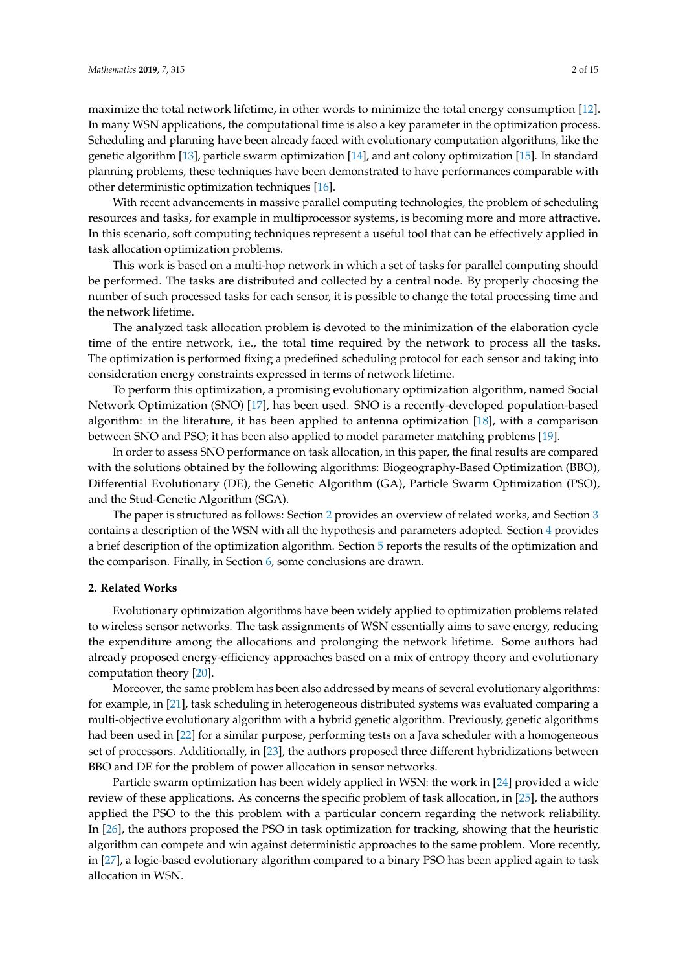maximize the total network lifetime, in other words to minimize the total energy consumption [\[12\]](#page-13-11). In many WSN applications, the computational time is also a key parameter in the optimization process. Scheduling and planning have been already faced with evolutionary computation algorithms, like the genetic algorithm [\[13\]](#page-13-12), particle swarm optimization [\[14\]](#page-13-13), and ant colony optimization [\[15\]](#page-13-14). In standard planning problems, these techniques have been demonstrated to have performances comparable with other deterministic optimization techniques [\[16\]](#page-13-15).

With recent advancements in massive parallel computing technologies, the problem of scheduling resources and tasks, for example in multiprocessor systems, is becoming more and more attractive. In this scenario, soft computing techniques represent a useful tool that can be effectively applied in task allocation optimization problems.

This work is based on a multi-hop network in which a set of tasks for parallel computing should be performed. The tasks are distributed and collected by a central node. By properly choosing the number of such processed tasks for each sensor, it is possible to change the total processing time and the network lifetime.

The analyzed task allocation problem is devoted to the minimization of the elaboration cycle time of the entire network, i.e., the total time required by the network to process all the tasks. The optimization is performed fixing a predefined scheduling protocol for each sensor and taking into consideration energy constraints expressed in terms of network lifetime.

To perform this optimization, a promising evolutionary optimization algorithm, named Social Network Optimization (SNO) [\[17\]](#page-13-16), has been used. SNO is a recently-developed population-based algorithm: in the literature, it has been applied to antenna optimization [\[18\]](#page-14-0), with a comparison between SNO and PSO; it has been also applied to model parameter matching problems [\[19\]](#page-14-1).

In order to assess SNO performance on task allocation, in this paper, the final results are compared with the solutions obtained by the following algorithms: Biogeography-Based Optimization (BBO), Differential Evolutionary (DE), the Genetic Algorithm (GA), Particle Swarm Optimization (PSO), and the Stud-Genetic Algorithm (SGA).

The paper is structured as follows: Section [2](#page-1-0) provides an overview of related works, and Section [3](#page-2-0) contains a description of the WSN with all the hypothesis and parameters adopted. Section [4](#page-4-0) provides a brief description of the optimization algorithm. Section [5](#page-6-0) reports the results of the optimization and the comparison. Finally, in Section [6,](#page-12-0) some conclusions are drawn.

### <span id="page-1-0"></span>**2. Related Works**

Evolutionary optimization algorithms have been widely applied to optimization problems related to wireless sensor networks. The task assignments of WSN essentially aims to save energy, reducing the expenditure among the allocations and prolonging the network lifetime. Some authors had already proposed energy-efficiency approaches based on a mix of entropy theory and evolutionary computation theory [\[20\]](#page-14-2).

Moreover, the same problem has been also addressed by means of several evolutionary algorithms: for example, in [\[21\]](#page-14-3), task scheduling in heterogeneous distributed systems was evaluated comparing a multi-objective evolutionary algorithm with a hybrid genetic algorithm. Previously, genetic algorithms had been used in [\[22\]](#page-14-4) for a similar purpose, performing tests on a Java scheduler with a homogeneous set of processors. Additionally, in [\[23\]](#page-14-5), the authors proposed three different hybridizations between BBO and DE for the problem of power allocation in sensor networks.

Particle swarm optimization has been widely applied in WSN: the work in [\[24\]](#page-14-6) provided a wide review of these applications. As concerns the specific problem of task allocation, in [\[25\]](#page-14-7), the authors applied the PSO to the this problem with a particular concern regarding the network reliability. In [\[26\]](#page-14-8), the authors proposed the PSO in task optimization for tracking, showing that the heuristic algorithm can compete and win against deterministic approaches to the same problem. More recently, in [\[27\]](#page-14-9), a logic-based evolutionary algorithm compared to a binary PSO has been applied again to task allocation in WSN.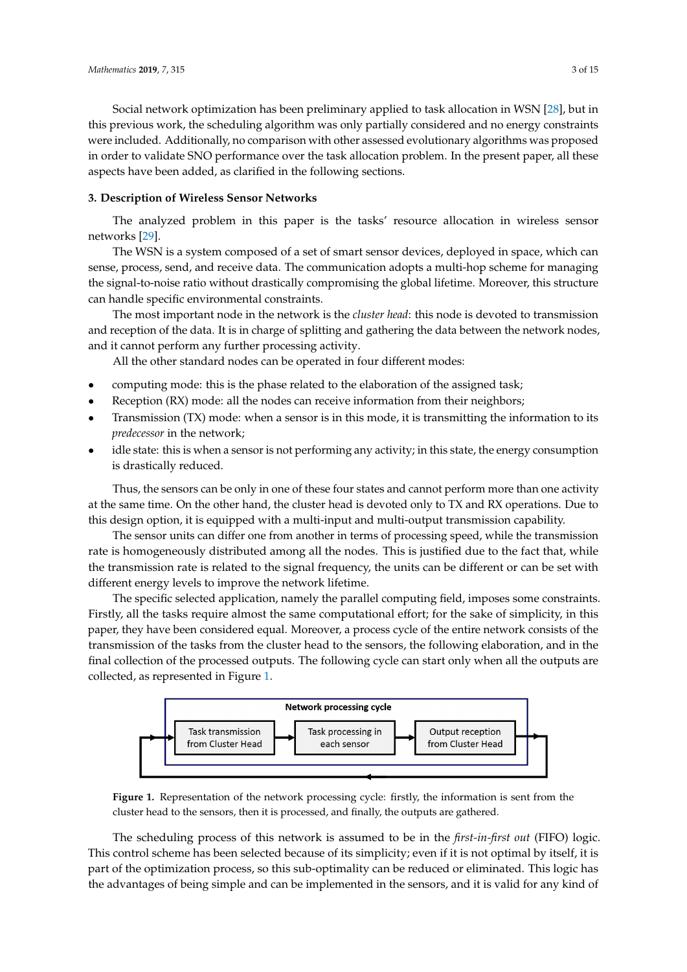Social network optimization has been preliminary applied to task allocation in WSN [\[28\]](#page-14-10), but in this previous work, the scheduling algorithm was only partially considered and no energy constraints were included. Additionally, no comparison with other assessed evolutionary algorithms was proposed in order to validate SNO performance over the task allocation problem. In the present paper, all these aspects have been added, as clarified in the following sections.

## <span id="page-2-0"></span>**3. Description of Wireless Sensor Networks**

The analyzed problem in this paper is the tasks' resource allocation in wireless sensor networks [\[29\]](#page-14-11).

The WSN is a system composed of a set of smart sensor devices, deployed in space, which can sense, process, send, and receive data. The communication adopts a multi-hop scheme for managing the signal-to-noise ratio without drastically compromising the global lifetime. Moreover, this structure can handle specific environmental constraints.

The most important node in the network is the *cluster head*: this node is devoted to transmission and reception of the data. It is in charge of splitting and gathering the data between the network nodes, and it cannot perform any further processing activity.

All the other standard nodes can be operated in four different modes:

- computing mode: this is the phase related to the elaboration of the assigned task;
- Reception (RX) mode: all the nodes can receive information from their neighbors;
- Transmission (TX) mode: when a sensor is in this mode, it is transmitting the information to its *predecessor* in the network;
- idle state: this is when a sensor is not performing any activity; in this state, the energy consumption is drastically reduced.

Thus, the sensors can be only in one of these four states and cannot perform more than one activity at the same time. On the other hand, the cluster head is devoted only to TX and RX operations. Due to this design option, it is equipped with a multi-input and multi-output transmission capability.

The sensor units can differ one from another in terms of processing speed, while the transmission rate is homogeneously distributed among all the nodes. This is justified due to the fact that, while the transmission rate is related to the signal frequency, the units can be different or can be set with different energy levels to improve the network lifetime.

The specific selected application, namely the parallel computing field, imposes some constraints. Firstly, all the tasks require almost the same computational effort; for the sake of simplicity, in this paper, they have been considered equal. Moreover, a process cycle of the entire network consists of the transmission of the tasks from the cluster head to the sensors, the following elaboration, and in the final collection of the processed outputs. The following cycle can start only when all the outputs are collected, as represented in Figure [1.](#page-2-1)

<span id="page-2-1"></span>

**Figure 1.** Representation of the network processing cycle: firstly, the information is sent from the cluster head to the sensors, then it is processed, and finally, the outputs are gathered.

The scheduling process of this network is assumed to be in the *first-in-first out* (FIFO) logic. This control scheme has been selected because of its simplicity; even if it is not optimal by itself, it is part of the optimization process, so this sub-optimality can be reduced or eliminated. This logic has the advantages of being simple and can be implemented in the sensors, and it is valid for any kind of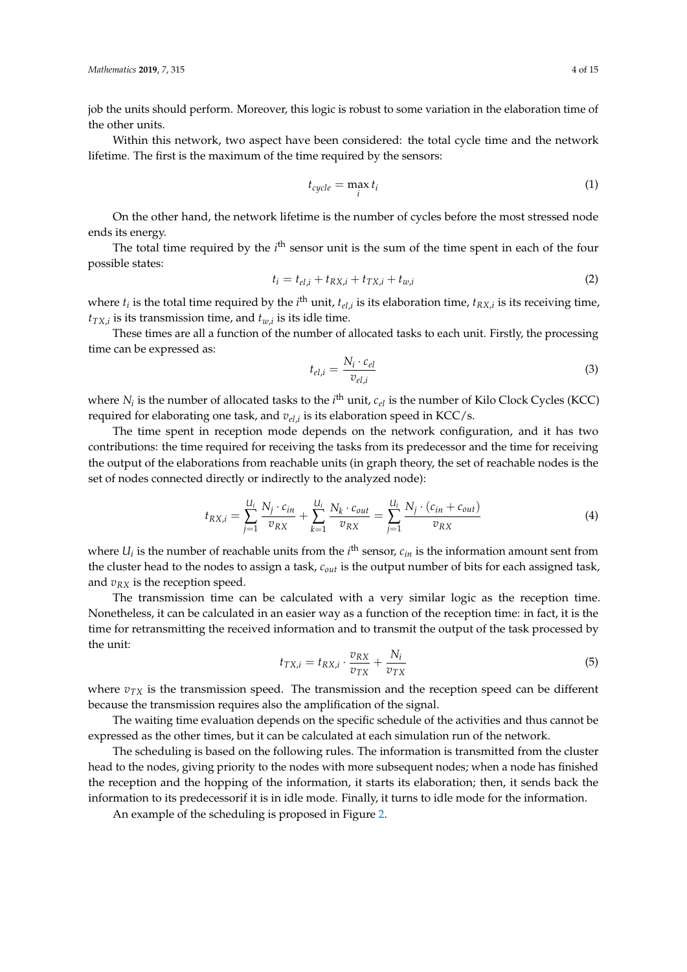job the units should perform. Moreover, this logic is robust to some variation in the elaboration time of the other units.

Within this network, two aspect have been considered: the total cycle time and the network lifetime. The first is the maximum of the time required by the sensors:

$$
t_{cycle} = \max_{i} t_i \tag{1}
$$

On the other hand, the network lifetime is the number of cycles before the most stressed node ends its energy.

The total time required by the *i*<sup>th</sup> sensor unit is the sum of the time spent in each of the four possible states:

$$
t_i = t_{el,i} + t_{RX,i} + t_{TX,i} + t_{w,i}
$$
 (2)

where  $t_i$  is the total time required by the *i*<sup>th</sup> unit,  $t_{el,i}$  is its elaboration time,  $t_{RX,i}$  is its receiving time,  $t_{TX,i}$  is its transmission time, and  $t_{w,i}$  is its idle time.

These times are all a function of the number of allocated tasks to each unit. Firstly, the processing time can be expressed as:

$$
t_{el,i} = \frac{N_i \cdot c_{el}}{v_{el,i}} \tag{3}
$$

where  $N_i$  is the number of allocated tasks to the  $i^{\text{th}}$  unit,  $c_{el}$  is the number of Kilo Clock Cycles (KCC) required for elaborating one task, and *vel*,*<sup>i</sup>* is its elaboration speed in KCC/s.

The time spent in reception mode depends on the network configuration, and it has two contributions: the time required for receiving the tasks from its predecessor and the time for receiving the output of the elaborations from reachable units (in graph theory, the set of reachable nodes is the set of nodes connected directly or indirectly to the analyzed node):

$$
t_{RX,i} = \sum_{j=1}^{U_i} \frac{N_j \cdot c_{in}}{v_{RX}} + \sum_{k=1}^{U_i} \frac{N_k \cdot c_{out}}{v_{RX}} = \sum_{j=1}^{U_i} \frac{N_j \cdot (c_{in} + c_{out})}{v_{RX}}
$$
(4)

where  $U_i$  is the number of reachable units from the  $i^{\text{th}}$  sensor,  $c_{in}$  is the information amount sent from the cluster head to the nodes to assign a task, *cout* is the output number of bits for each assigned task, and  $v_{RX}$  is the reception speed.

The transmission time can be calculated with a very similar logic as the reception time. Nonetheless, it can be calculated in an easier way as a function of the reception time: in fact, it is the time for retransmitting the received information and to transmit the output of the task processed by the unit:

$$
t_{TX,i} = t_{RX,i} \cdot \frac{v_{RX}}{v_{TX}} + \frac{N_i}{v_{TX}}
$$
\n
$$
\tag{5}
$$

where  $v_{TX}$  is the transmission speed. The transmission and the reception speed can be different because the transmission requires also the amplification of the signal.

The waiting time evaluation depends on the specific schedule of the activities and thus cannot be expressed as the other times, but it can be calculated at each simulation run of the network.

The scheduling is based on the following rules. The information is transmitted from the cluster head to the nodes, giving priority to the nodes with more subsequent nodes; when a node has finished the reception and the hopping of the information, it starts its elaboration; then, it sends back the information to its predecessorif it is in idle mode. Finally, it turns to idle mode for the information.

An example of the scheduling is proposed in Figure [2.](#page-4-1)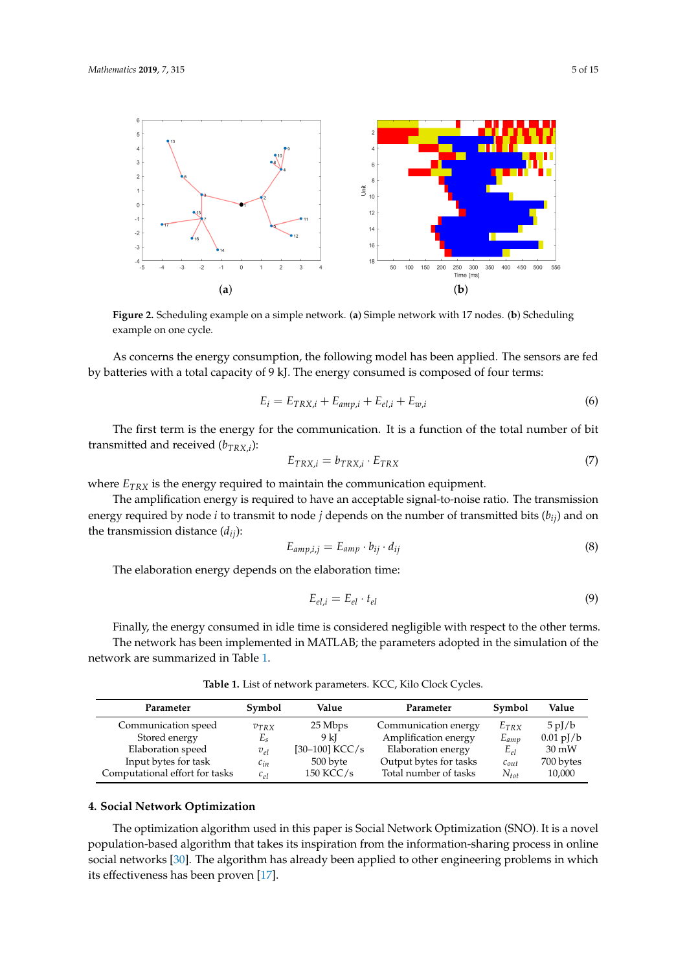<span id="page-4-1"></span>

**Figure 2.** Scheduling example on a simple network. (**a**) Simple network with 17 nodes. (**b**) Scheduling example on one cycle.

As concerns the energy consumption, the following model has been applied. The sensors are fed by batteries with a total capacity of 9 kJ. The energy consumed is composed of four terms:

$$
E_i = E_{TRX,i} + E_{amp,i} + E_{el,i} + E_{w,i}
$$
\n
$$
\tag{6}
$$

The first term is the energy for the communication. It is a function of the total number of bit transmitted and received (*bTRX*,*<sup>i</sup>* ):

$$
E_{TRX,i} = b_{TRX,i} \cdot E_{TRX} \tag{7}
$$

where *ETRX* is the energy required to maintain the communication equipment.

The amplification energy is required to have an acceptable signal-to-noise ratio. The transmission energy required by node *i* to transmit to node *j* depends on the number of transmitted bits (*bij*) and on the transmission distance  $(d_{ii})$ :

$$
E_{amp,i,j} = E_{amp} \cdot b_{ij} \cdot d_{ij} \tag{8}
$$

The elaboration energy depends on the elaboration time:

$$
E_{el,i} = E_{el} \cdot t_{el} \tag{9}
$$

Finally, the energy consumed in idle time is considered negligible with respect to the other terms. The network has been implemented in MATLAB; the parameters adopted in the simulation of the network are summarized in Table [1.](#page-4-2)

**Table 1.** List of network parameters. KCC, Kilo Clock Cycles.

<span id="page-4-2"></span>

| Parameter                      | Symbol    | Value            | Parameter              | Symbol       | Value            |
|--------------------------------|-----------|------------------|------------------------|--------------|------------------|
| Communication speed            | $v_{TRX}$ | 25 Mbps          | Communication energy   | $E_{TRX}$    | $5 \text{ pJ}/b$ |
| Stored energy                  | $E_{S}$   | 9 kI             | Amplification energy   | $E_{amp}$    | $0.01$ pJ/b      |
| Elaboration speed              | $v_{el}$  | [30-100] $KCC/s$ | Elaboration energy     | $E_{\rho I}$ | $30 \text{ mW}$  |
| Input bytes for task           | $c_{in}$  | 500 byte         | Output bytes for tasks | $c_{out}$    | 700 bytes        |
| Computational effort for tasks | $c_{el}$  | $150$ KCC/s      | Total number of tasks  | $N_{tot}$    | 10,000           |

#### <span id="page-4-0"></span>**4. Social Network Optimization**

The optimization algorithm used in this paper is Social Network Optimization (SNO). It is a novel population-based algorithm that takes its inspiration from the information-sharing process in online social networks [\[30\]](#page-14-12). The algorithm has already been applied to other engineering problems in which its effectiveness has been proven [\[17\]](#page-13-16).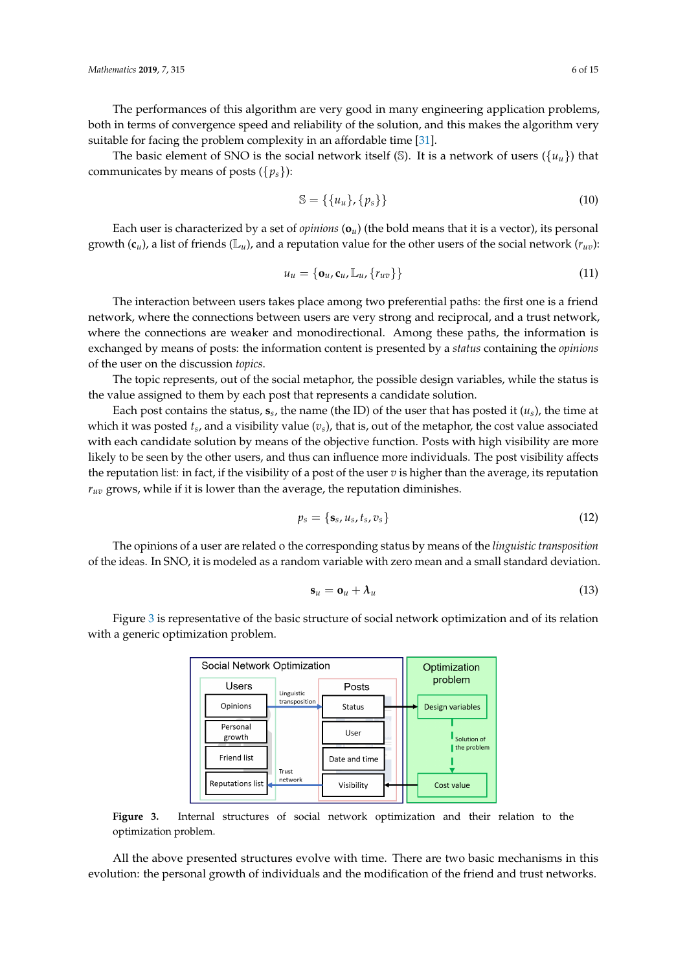The performances of this algorithm are very good in many engineering application problems, both in terms of convergence speed and reliability of the solution, and this makes the algorithm very suitable for facing the problem complexity in an affordable time [\[31\]](#page-14-13).

The basic element of SNO is the social network itself (S). It is a network of users ( $\{u_u\}$ ) that communicates by means of posts ( $\{p_s\}$ ):

$$
\mathbb{S} = \{\{u_u\}, \{p_s\}\}\tag{10}
$$

Each user is characterized by a set of *opinions* (**o***u*) (the bold means that it is a vector), its personal growth  $(c_u)$ , a list of friends ( $\mathbb{L}_u$ ), and a reputation value for the other users of the social network ( $r_{uv}$ ):

$$
u_u = \{ \mathbf{o}_u, \mathbf{c}_u, \mathbb{L}_u, \{r_{uv}\} \} \tag{11}
$$

The interaction between users takes place among two preferential paths: the first one is a friend network, where the connections between users are very strong and reciprocal, and a trust network, where the connections are weaker and monodirectional. Among these paths, the information is exchanged by means of posts: the information content is presented by a *status* containing the *opinions* of the user on the discussion *topics*.

The topic represents, out of the social metaphor, the possible design variables, while the status is the value assigned to them by each post that represents a candidate solution.

Each post contains the status,  $\mathbf{s}_s$ , the name (the ID) of the user that has posted it  $(u_s)$ , the time at which it was posted *t<sup>s</sup>* , and a visibility value (*vs*), that is, out of the metaphor, the cost value associated with each candidate solution by means of the objective function. Posts with high visibility are more likely to be seen by the other users, and thus can influence more individuals. The post visibility affects the reputation list: in fact, if the visibility of a post of the user *v* is higher than the average, its reputation  $r_{uv}$  grows, while if it is lower than the average, the reputation diminishes.

$$
p_s = \{ \mathbf{s}_s, u_s, t_s, v_s \} \tag{12}
$$

The opinions of a user are related o the corresponding status by means of the *linguistic transposition* of the ideas. In SNO, it is modeled as a random variable with zero mean and a small standard deviation.

$$
\mathbf{s}_u = \mathbf{o}_u + \lambda_u \tag{13}
$$

<span id="page-5-0"></span>Figure [3](#page-5-0) is representative of the basic structure of social network optimization and of its relation with a generic optimization problem.



**Figure 3.** Internal structures of social network optimization and their relation to the optimization problem.

All the above presented structures evolve with time. There are two basic mechanisms in this evolution: the personal growth of individuals and the modification of the friend and trust networks.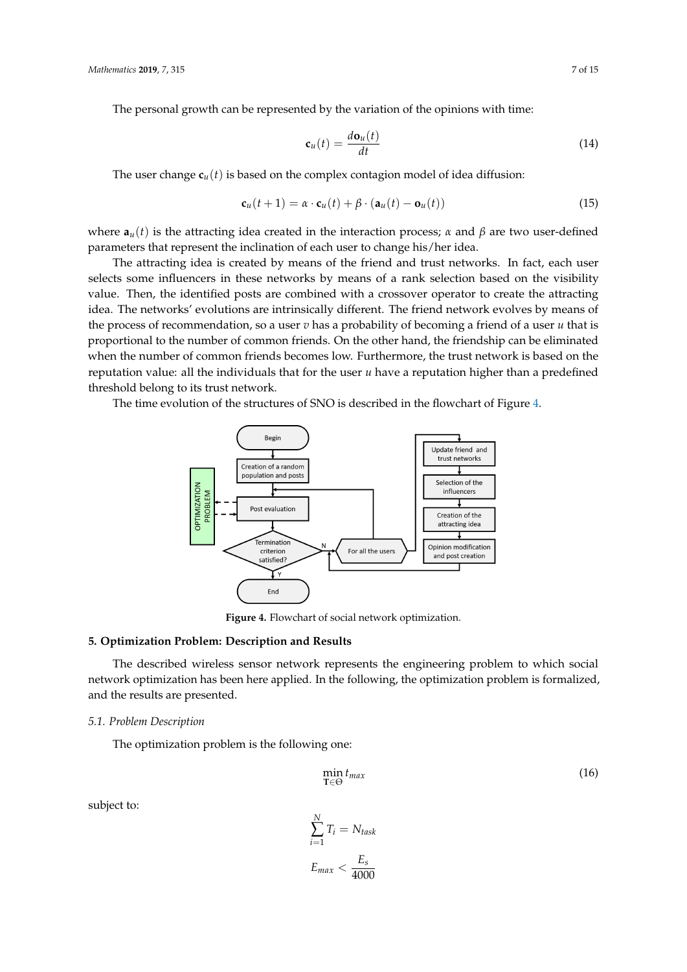The personal growth can be represented by the variation of the opinions with time:

$$
\mathbf{c}_u(t) = \frac{d\mathbf{o}_u(t)}{dt} \tag{14}
$$

The user change  $\mathbf{c}_u(t)$  is based on the complex contagion model of idea diffusion:

$$
\mathbf{c}_u(t+1) = \alpha \cdot \mathbf{c}_u(t) + \beta \cdot (\mathbf{a}_u(t) - \mathbf{o}_u(t)) \tag{15}
$$

where  $\mathbf{a}_u(t)$  is the attracting idea created in the interaction process; *α* and *β* are two user-defined parameters that represent the inclination of each user to change his/her idea.

The attracting idea is created by means of the friend and trust networks. In fact, each user selects some influencers in these networks by means of a rank selection based on the visibility value. Then, the identified posts are combined with a crossover operator to create the attracting idea. The networks' evolutions are intrinsically different. The friend network evolves by means of the process of recommendation, so a user *v* has a probability of becoming a friend of a user *u* that is proportional to the number of common friends. On the other hand, the friendship can be eliminated when the number of common friends becomes low. Furthermore, the trust network is based on the reputation value: all the individuals that for the user *u* have a reputation higher than a predefined threshold belong to its trust network.

<span id="page-6-1"></span>The time evolution of the structures of SNO is described in the flowchart of Figure [4.](#page-6-1)



**Figure 4.** Flowchart of social network optimization.

#### <span id="page-6-0"></span>**5. Optimization Problem: Description and Results**

The described wireless sensor network represents the engineering problem to which social network optimization has been here applied. In the following, the optimization problem is formalized, and the results are presented.

#### *5.1. Problem Description*

The optimization problem is the following one:

$$
\min_{\mathbf{T} \in \Theta} t_{max} \tag{16}
$$

subject to:

$$
\sum_{i=1}^{N} T_i = N_{task}
$$

$$
E_{max} < \frac{E_s}{4000}
$$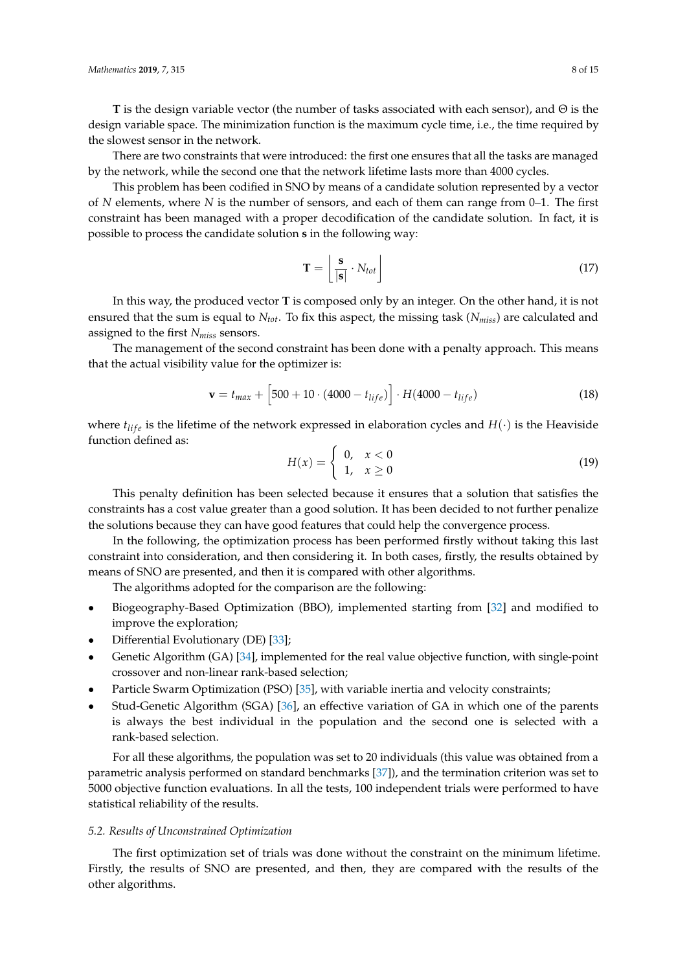**T** is the design variable vector (the number of tasks associated with each sensor), and Θ is the design variable space. The minimization function is the maximum cycle time, i.e., the time required by the slowest sensor in the network.

There are two constraints that were introduced: the first one ensures that all the tasks are managed by the network, while the second one that the network lifetime lasts more than 4000 cycles.

This problem has been codified in SNO by means of a candidate solution represented by a vector of *N* elements, where *N* is the number of sensors, and each of them can range from 0–1. The first constraint has been managed with a proper decodification of the candidate solution. In fact, it is possible to process the candidate solution **s** in the following way:

$$
\mathbf{T} = \begin{bmatrix} \mathbf{s} \\ |\mathbf{s}| \end{bmatrix} \cdot N_{tot} \tag{17}
$$

In this way, the produced vector **T** is composed only by an integer. On the other hand, it is not ensured that the sum is equal to *Ntot*. To fix this aspect, the missing task (*Nmiss*) are calculated and assigned to the first *Nmiss* sensors.

The management of the second constraint has been done with a penalty approach. This means that the actual visibility value for the optimizer is:

$$
\mathbf{v} = t_{max} + \left[ 500 + 10 \cdot (4000 - t_{life}) \right] \cdot H(4000 - t_{life}) \tag{18}
$$

where  $t_{life}$  is the lifetime of the network expressed in elaboration cycles and  $H(\cdot)$  is the Heaviside function defined as:

$$
H(x) = \begin{cases} 0, & x < 0 \\ 1, & x \ge 0 \end{cases}
$$
 (19)

This penalty definition has been selected because it ensures that a solution that satisfies the constraints has a cost value greater than a good solution. It has been decided to not further penalize the solutions because they can have good features that could help the convergence process.

In the following, the optimization process has been performed firstly without taking this last constraint into consideration, and then considering it. In both cases, firstly, the results obtained by means of SNO are presented, and then it is compared with other algorithms.

The algorithms adopted for the comparison are the following:

- Biogeography-Based Optimization (BBO), implemented starting from [\[32\]](#page-14-14) and modified to improve the exploration;
- Differential Evolutionary (DE) [\[33\]](#page-14-15);
- Genetic Algorithm (GA) [\[34\]](#page-14-16), implemented for the real value objective function, with single-point crossover and non-linear rank-based selection;
- Particle Swarm Optimization (PSO) [\[35\]](#page-14-17), with variable inertia and velocity constraints;
- Stud-Genetic Algorithm (SGA) [\[36\]](#page-14-18), an effective variation of GA in which one of the parents is always the best individual in the population and the second one is selected with a rank-based selection.

For all these algorithms, the population was set to 20 individuals (this value was obtained from a parametric analysis performed on standard benchmarks [\[37\]](#page-14-19)), and the termination criterion was set to 5000 objective function evaluations. In all the tests, 100 independent trials were performed to have statistical reliability of the results.

#### *5.2. Results of Unconstrained Optimization*

The first optimization set of trials was done without the constraint on the minimum lifetime. Firstly, the results of SNO are presented, and then, they are compared with the results of the other algorithms.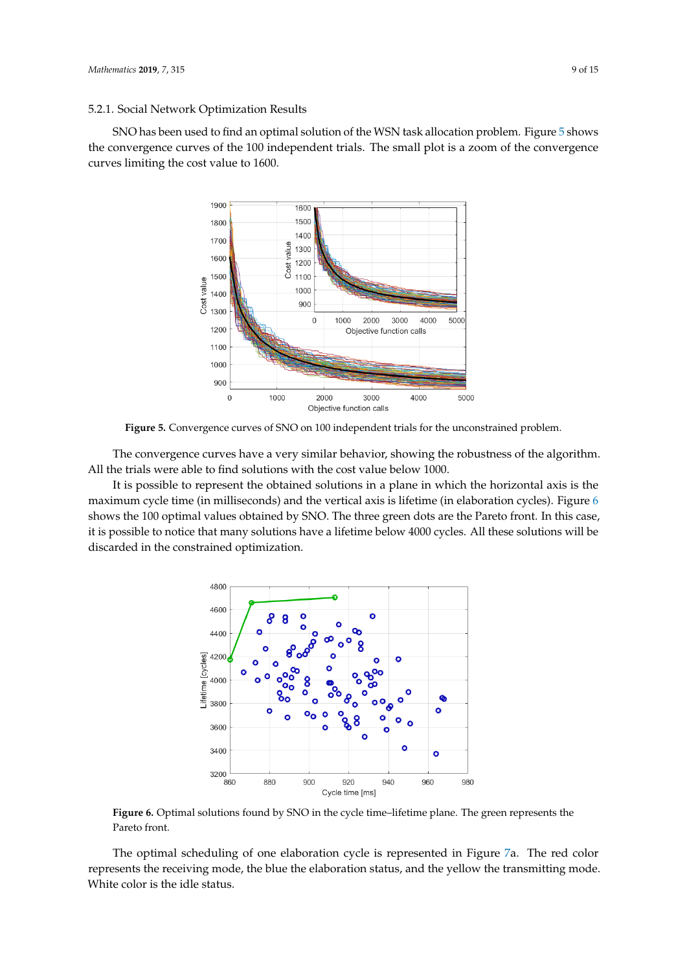## 5.2.1. Social Network Optimization Results

<span id="page-8-0"></span>SNO has been used to find an optimal solution of the WSN task allocation problem. Figure [5](#page-8-0) shows the convergence curves of the 100 independent trials. The small plot is a zoom of the convergence curves limiting the cost value to 1600.



**Figure 5.** Convergence curves of SNO on 100 independent trials for the unconstrained problem.

The convergence curves have a very similar behavior, showing the robustness of the algorithm. All the trials were able to find solutions with the cost value below 1000.

<span id="page-8-1"></span>It is possible to represent the obtained solutions in a plane in which the horizontal axis is the maximum cycle time (in milliseconds) and the vertical axis is lifetime (in elaboration cycles). Figure [6](#page-8-1) shows the 100 optimal values obtained by SNO. The three green dots are the Pareto front. In this case, it is possible to notice that many solutions have a lifetime below 4000 cycles. All these solutions will be discarded in the constrained optimization.



**Figure 6.** Optimal solutions found by SNO in the cycle time–lifetime plane. The green represents the Pareto front.

The optimal scheduling of one elaboration cycle is represented in Figure [7a](#page-9-0). The red color represents the receiving mode, the blue the elaboration status, and the yellow the transmitting mode. White color is the idle status.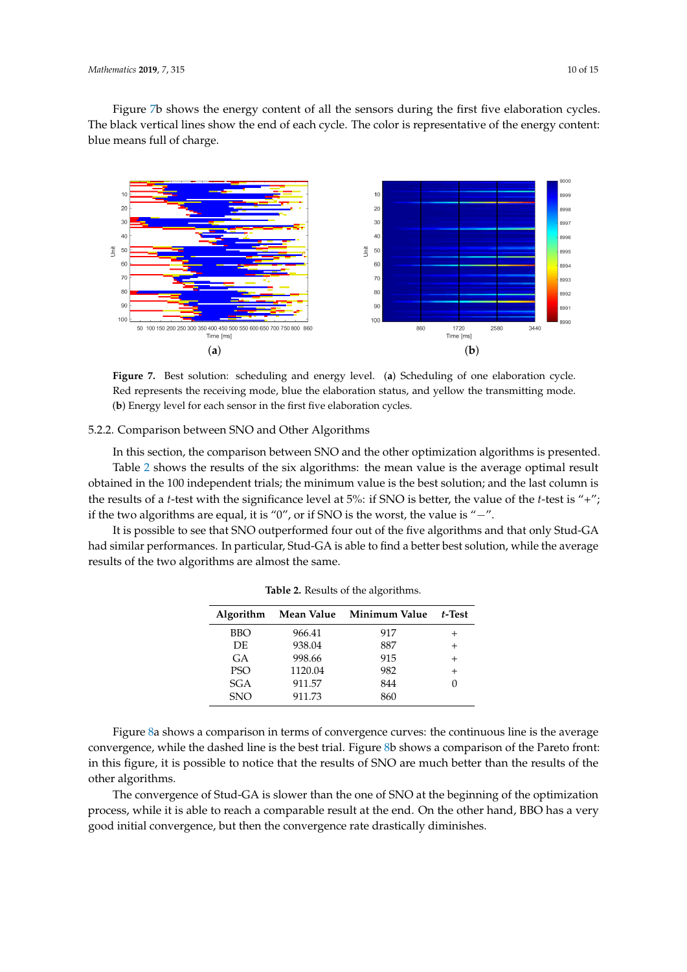Figure [7b](#page-9-0) shows the energy content of all the sensors during the first five elaboration cycles. The black vertical lines show the end of each cycle. The color is representative of the energy content: blue means full of charge.

<span id="page-9-0"></span>

**Figure 7.** Best solution: scheduling and energy level. (**a**) Scheduling of one elaboration cycle. Red represents the receiving mode, blue the elaboration status, and yellow the transmitting mode. (**b**) Energy level for each sensor in the first five elaboration cycles.

## 5.2.2. Comparison between SNO and Other Algorithms

In this section, the comparison between SNO and the other optimization algorithms is presented. Table [2](#page-9-1) shows the results of the six algorithms: the mean value is the average optimal result obtained in the 100 independent trials; the minimum value is the best solution; and the last column is the results of a *t*-test with the significance level at 5%: if SNO is better, the value of the *t*-test is "+"; if the two algorithms are equal, it is "0", or if SNO is the worst, the value is "−".

<span id="page-9-1"></span>It is possible to see that SNO outperformed four out of the five algorithms and that only Stud-GA had similar performances. In particular, Stud-GA is able to find a better best solution, while the average results of the two algorithms are almost the same.

| Algorithm  | Mean Value | Minimum Value | t-Test |
|------------|------------|---------------|--------|
| BBO        | 966.41     | 917           |        |
| DE.        | 938.04     | 887           |        |
| GA         | 998.66     | 915           |        |
| <b>PSO</b> | 1120.04    | 982           |        |
| SGA        | 911.57     | 844           |        |
| <b>SNO</b> | 911.73     | 860           |        |

**Table 2.** Results of the algorithms.

Figure [8a](#page-10-0) shows a comparison in terms of convergence curves: the continuous line is the average convergence, while the dashed line is the best trial. Figure [8b](#page-10-0) shows a comparison of the Pareto front: in this figure, it is possible to notice that the results of SNO are much better than the results of the other algorithms.

The convergence of Stud-GA is slower than the one of SNO at the beginning of the optimization process, while it is able to reach a comparable result at the end. On the other hand, BBO has a very good initial convergence, but then the convergence rate drastically diminishes.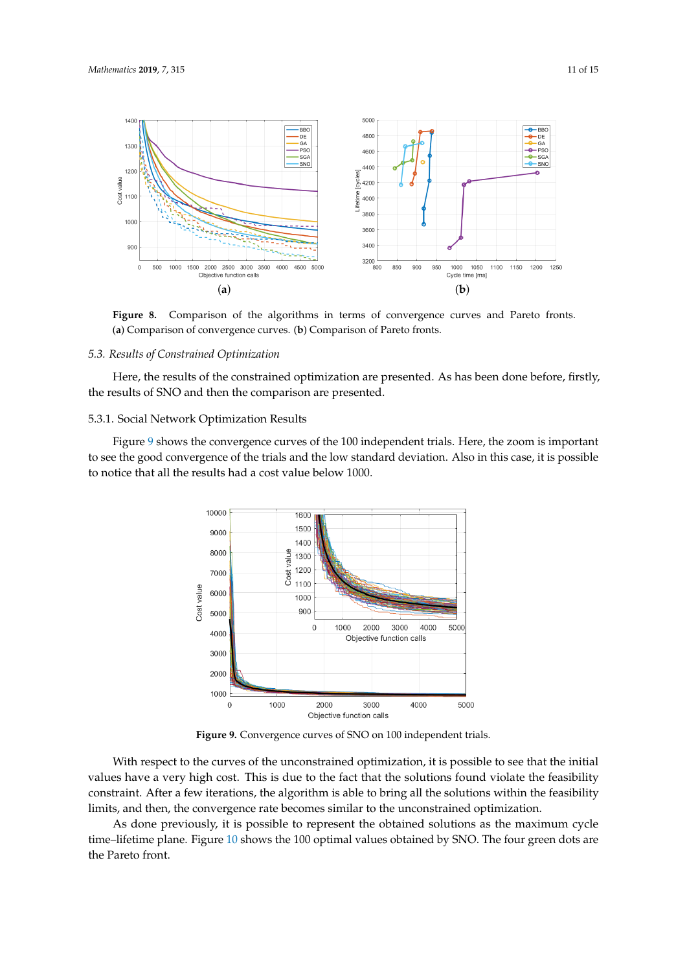

<span id="page-10-0"></span>

**Figure 8.** Comparison of the algorithms in terms of convergence curves and Pareto fronts. (**a**) Comparison of convergence curves. (**b**) Comparison of Pareto fronts.

## *5.3. Results of Constrained Optimization*

Here, the results of the constrained optimization are presented. As has been done before, firstly, the results of SNO and then the comparison are presented.

#### 5.3.1. Social Network Optimization Results

<span id="page-10-1"></span>Figure [9](#page-10-1) shows the convergence curves of the 100 independent trials. Here, the zoom is important to see the good convergence of the trials and the low standard deviation. Also in this case, it is possible to notice that all the results had a cost value below 1000.



**Figure 9.** Convergence curves of SNO on 100 independent trials.

With respect to the curves of the unconstrained optimization, it is possible to see that the initial values have a very high cost. This is due to the fact that the solutions found violate the feasibility constraint. After a few iterations, the algorithm is able to bring all the solutions within the feasibility limits, and then, the convergence rate becomes similar to the unconstrained optimization.

As done previously, it is possible to represent the obtained solutions as the maximum cycle time–lifetime plane. Figure [10](#page-11-0) shows the 100 optimal values obtained by SNO. The four green dots are the Pareto front.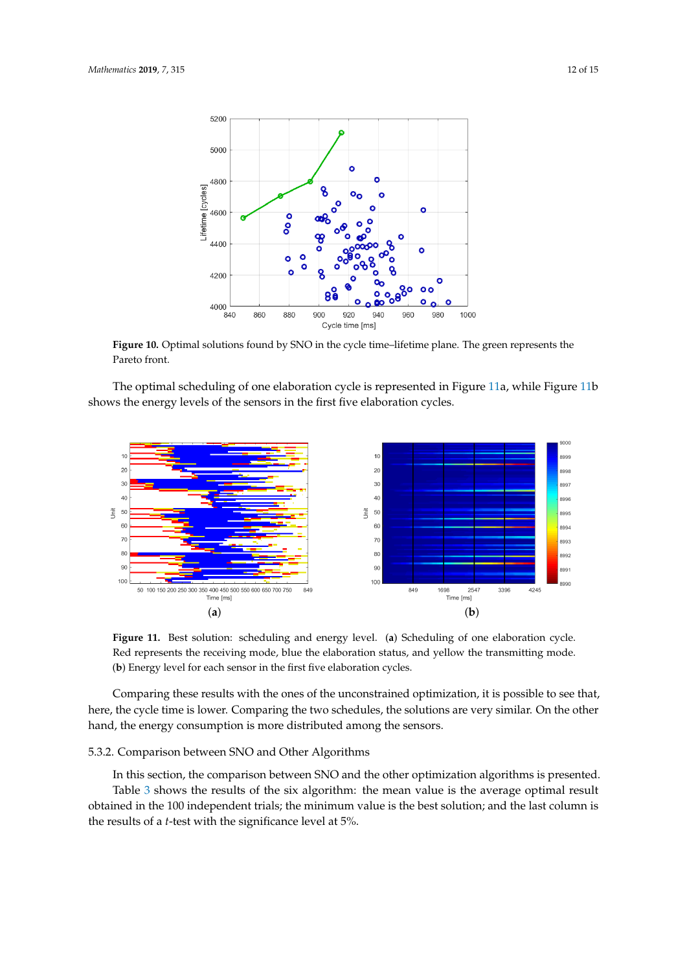<span id="page-11-0"></span>

**Figure 10.** Optimal solutions found by SNO in the cycle time–lifetime plane. The green represents the Pareto front.

The optimal scheduling of one elaboration cycle is represented in Figure [11a](#page-11-1), while Figure [11b](#page-11-1) shows the energy levels of the sensors in the first five elaboration cycles.

<span id="page-11-1"></span>

**Figure 11.** Best solution: scheduling and energy level. (**a**) Scheduling of one elaboration cycle. Red represents the receiving mode, blue the elaboration status, and yellow the transmitting mode. (**b**) Energy level for each sensor in the first five elaboration cycles.

Comparing these results with the ones of the unconstrained optimization, it is possible to see that, here, the cycle time is lower. Comparing the two schedules, the solutions are very similar. On the other hand, the energy consumption is more distributed among the sensors.

## 5.3.2. Comparison between SNO and Other Algorithms

In this section, the comparison between SNO and the other optimization algorithms is presented. Table [3](#page-12-1) shows the results of the six algorithm: the mean value is the average optimal result obtained in the 100 independent trials; the minimum value is the best solution; and the last column is the results of a *t*-test with the significance level at 5%.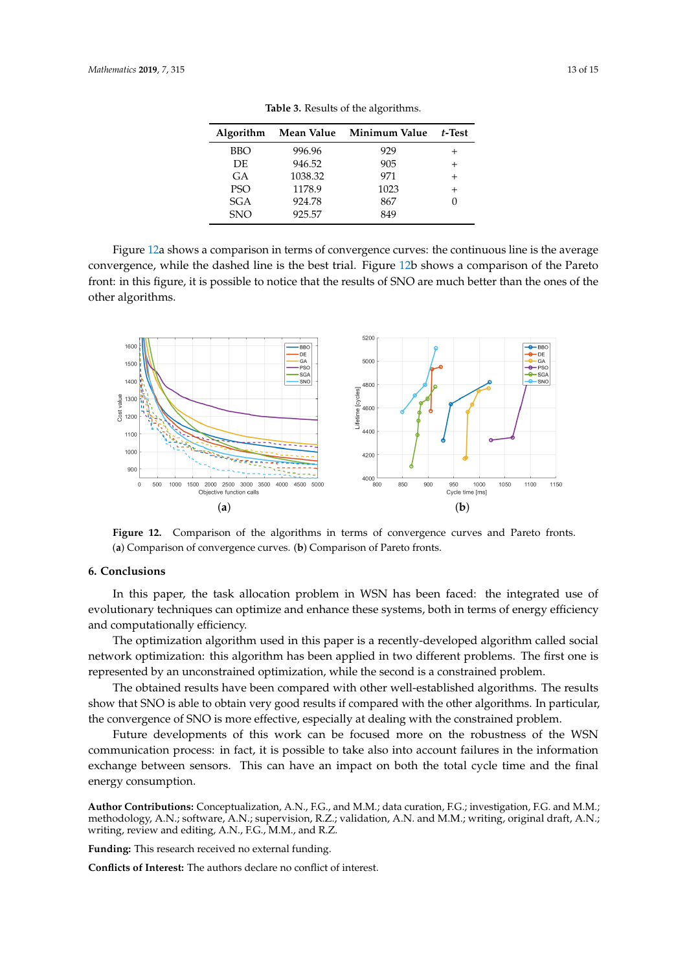<span id="page-12-1"></span>

| Algorithm  | Mean Value | Minimum Value | $t$ -Test |
|------------|------------|---------------|-----------|
| BBO        | 996.96     | 929           |           |
| DE.        | 946.52     | 905           | $^+$      |
| <b>GA</b>  | 1038.32    | 971           | $^{+}$    |
| <b>PSO</b> | 1178.9     | 1023          |           |
| SGA        | 924.78     | 867           |           |
| <b>SNO</b> | 925.57     | 849           |           |
|            |            |               |           |

**Table 3.** Results of the algorithms.

Figure [12a](#page-12-2) shows a comparison in terms of convergence curves: the continuous line is the average convergence, while the dashed line is the best trial. Figure [12b](#page-12-2) shows a comparison of the Pareto front: in this figure, it is possible to notice that the results of SNO are much better than the ones of the other algorithms.

<span id="page-12-2"></span>

**Figure 12.** Comparison of the algorithms in terms of convergence curves and Pareto fronts. (**a**) Comparison of convergence curves. (**b**) Comparison of Pareto fronts.

#### <span id="page-12-0"></span>**6. Conclusions**

In this paper, the task allocation problem in WSN has been faced: the integrated use of evolutionary techniques can optimize and enhance these systems, both in terms of energy efficiency and computationally efficiency.

The optimization algorithm used in this paper is a recently-developed algorithm called social network optimization: this algorithm has been applied in two different problems. The first one is represented by an unconstrained optimization, while the second is a constrained problem.

The obtained results have been compared with other well-established algorithms. The results show that SNO is able to obtain very good results if compared with the other algorithms. In particular, the convergence of SNO is more effective, especially at dealing with the constrained problem.

Future developments of this work can be focused more on the robustness of the WSN communication process: in fact, it is possible to take also into account failures in the information exchange between sensors. This can have an impact on both the total cycle time and the final energy consumption.

**Author Contributions:** Conceptualization, A.N., F.G., and M.M.; data curation, F.G.; investigation, F.G. and M.M.; methodology, A.N.; software, A.N.; supervision, R.Z.; validation, A.N. and M.M.; writing, original draft, A.N.; writing, review and editing, A.N., F.G., M.M., and R.Z.

**Funding:** This research received no external funding.

**Conflicts of Interest:** The authors declare no conflict of interest.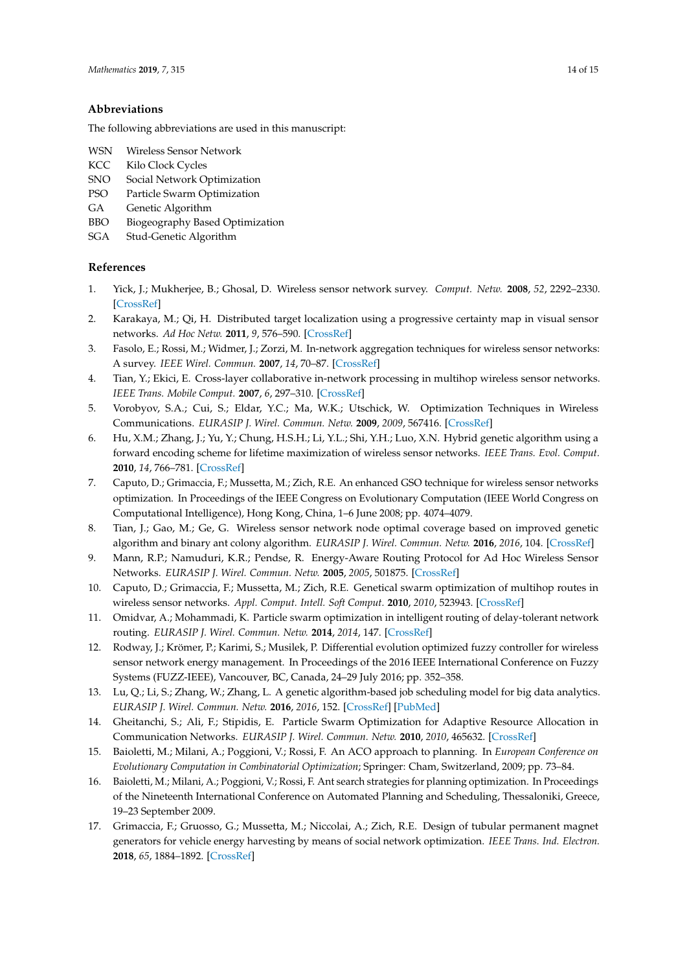## **Abbreviations**

The following abbreviations are used in this manuscript:

- WSN Wireless Sensor Network
- KCC Kilo Clock Cycles
- SNO Social Network Optimization
- PSO Particle Swarm Optimization
- GA Genetic Algorithm
- BBO Biogeography Based Optimization
- SGA Stud-Genetic Algorithm

# **References**

- <span id="page-13-0"></span>1. Yick, J.; Mukherjee, B.; Ghosal, D. Wireless sensor network survey. *Comput. Netw.* **2008**, *52*, 2292–2330. [\[CrossRef\]](http://dx.doi.org/10.1016/j.comnet.2008.04.002)
- <span id="page-13-1"></span>2. Karakaya, M.; Qi, H. Distributed target localization using a progressive certainty map in visual sensor networks. *Ad Hoc Netw.* **2011**, *9*, 576–590. [\[CrossRef\]](http://dx.doi.org/10.1016/j.adhoc.2010.08.006)
- <span id="page-13-2"></span>3. Fasolo, E.; Rossi, M.; Widmer, J.; Zorzi, M. In-network aggregation techniques for wireless sensor networks: A survey. *IEEE Wirel. Commun.* **2007**, *14*, 70–87. [\[CrossRef\]](http://dx.doi.org/10.1109/MWC.2007.358967)
- <span id="page-13-3"></span>4. Tian, Y.; Ekici, E. Cross-layer collaborative in-network processing in multihop wireless sensor networks. *IEEE Trans. Mobile Comput.* **2007**, *6*, 297–310. [\[CrossRef\]](http://dx.doi.org/10.1109/TMC.2007.39)
- <span id="page-13-4"></span>5. Vorobyov, S.A.; Cui, S.; Eldar, Y.C.; Ma, W.K.; Utschick, W. Optimization Techniques in Wireless Communications. *EURASIP J. Wirel. Commun. Netw.* **2009**, *2009*, 567416. [\[CrossRef\]](http://dx.doi.org/10.1155/2009/567416)
- <span id="page-13-5"></span>6. Hu, X.M.; Zhang, J.; Yu, Y.; Chung, H.S.H.; Li, Y.L.; Shi, Y.H.; Luo, X.N. Hybrid genetic algorithm using a forward encoding scheme for lifetime maximization of wireless sensor networks. *IEEE Trans. Evol. Comput.* **2010**, *14*, 766–781. [\[CrossRef\]](http://dx.doi.org/10.1109/TEVC.2010.2040182)
- <span id="page-13-6"></span>7. Caputo, D.; Grimaccia, F.; Mussetta, M.; Zich, R.E. An enhanced GSO technique for wireless sensor networks optimization. In Proceedings of the IEEE Congress on Evolutionary Computation (IEEE World Congress on Computational Intelligence), Hong Kong, China, 1–6 June 2008; pp. 4074–4079.
- <span id="page-13-7"></span>8. Tian, J.; Gao, M.; Ge, G. Wireless sensor network node optimal coverage based on improved genetic algorithm and binary ant colony algorithm. *EURASIP J. Wirel. Commun. Netw.* **2016**, *2016*, 104. [\[CrossRef\]](http://dx.doi.org/10.1186/s13638-016-0605-5)
- <span id="page-13-8"></span>9. Mann, R.P.; Namuduri, K.R.; Pendse, R. Energy-Aware Routing Protocol for Ad Hoc Wireless Sensor Networks. *EURASIP J. Wirel. Commun. Netw.* **2005**, *2005*, 501875. [\[CrossRef\]](http://dx.doi.org/10.1155/WCN.2005.635)
- <span id="page-13-9"></span>10. Caputo, D.; Grimaccia, F.; Mussetta, M.; Zich, R.E. Genetical swarm optimization of multihop routes in wireless sensor networks. *Appl. Comput. Intell. Soft Comput.* **2010**, *2010*, 523943. [\[CrossRef\]](http://dx.doi.org/10.1155/2010/523943)
- <span id="page-13-10"></span>11. Omidvar, A.; Mohammadi, K. Particle swarm optimization in intelligent routing of delay-tolerant network routing. *EURASIP J. Wirel. Commun. Netw.* **2014**, *2014*, 147. [\[CrossRef\]](http://dx.doi.org/10.1186/1687-1499-2014-147)
- <span id="page-13-11"></span>12. Rodway, J.; Krömer, P.; Karimi, S.; Musilek, P. Differential evolution optimized fuzzy controller for wireless sensor network energy management. In Proceedings of the 2016 IEEE International Conference on Fuzzy Systems (FUZZ-IEEE), Vancouver, BC, Canada, 24–29 July 2016; pp. 352–358.
- <span id="page-13-12"></span>13. Lu, Q.; Li, S.; Zhang, W.; Zhang, L. A genetic algorithm-based job scheduling model for big data analytics. *EURASIP J. Wirel. Commun. Netw.* **2016**, *2016*, 152. [\[CrossRef\]](http://dx.doi.org/10.1186/s13638-016-0651-z) [\[PubMed\]](http://www.ncbi.nlm.nih.gov/pubmed/27429611)
- <span id="page-13-13"></span>14. Gheitanchi, S.; Ali, F.; Stipidis, E. Particle Swarm Optimization for Adaptive Resource Allocation in Communication Networks. *EURASIP J. Wirel. Commun. Netw.* **2010**, *2010*, 465632. [\[CrossRef\]](http://dx.doi.org/10.1155/2010/465632)
- <span id="page-13-14"></span>15. Baioletti, M.; Milani, A.; Poggioni, V.; Rossi, F. An ACO approach to planning. In *European Conference on Evolutionary Computation in Combinatorial Optimization*; Springer: Cham, Switzerland, 2009; pp. 73–84.
- <span id="page-13-15"></span>16. Baioletti, M.; Milani, A.; Poggioni, V.; Rossi, F. Ant search strategies for planning optimization. In Proceedings of the Nineteenth International Conference on Automated Planning and Scheduling, Thessaloniki, Greece, 19–23 September 2009.
- <span id="page-13-16"></span>17. Grimaccia, F.; Gruosso, G.; Mussetta, M.; Niccolai, A.; Zich, R.E. Design of tubular permanent magnet generators for vehicle energy harvesting by means of social network optimization. *IEEE Trans. Ind. Electron.* **2018**, *65*, 1884–1892. [\[CrossRef\]](http://dx.doi.org/10.1109/TIE.2017.2756599)